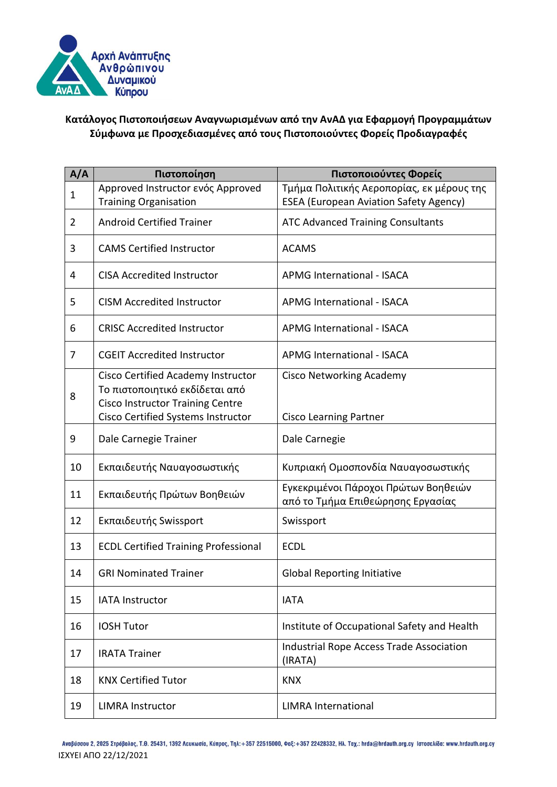

## **Κατάλογος Πιστοποιήσεων Αναγνωρισμένων από την ΑνΑΔ για Εφαρμογή Προγραμμάτων Σύμφωνα με Προσχεδιασμένες από τους Πιστοποιούντες Φορείς Προδιαγραφές**

| A/A            | Πιστοποίηση                                                                                                     | Πιστοποιούντες Φορείς                                                                      |
|----------------|-----------------------------------------------------------------------------------------------------------------|--------------------------------------------------------------------------------------------|
| $\mathbf{1}$   | Approved Instructor ενός Approved<br><b>Training Organisation</b>                                               | Τμήμα Πολιτικής Αεροπορίας, εκ μέρους της<br><b>ESEA (European Aviation Safety Agency)</b> |
| $\overline{2}$ | <b>Android Certified Trainer</b>                                                                                | <b>ATC Advanced Training Consultants</b>                                                   |
| 3              | <b>CAMS Certified Instructor</b>                                                                                | <b>ACAMS</b>                                                                               |
| 4              | <b>CISA Accredited Instructor</b>                                                                               | <b>APMG International - ISACA</b>                                                          |
| 5              | <b>CISM Accredited Instructor</b>                                                                               | <b>APMG International - ISACA</b>                                                          |
| 6              | <b>CRISC Accredited Instructor</b>                                                                              | <b>APMG International - ISACA</b>                                                          |
| 7              | <b>CGEIT Accredited Instructor</b>                                                                              | <b>APMG International - ISACA</b>                                                          |
| 8              | Cisco Certified Academy Instructor<br>Το πιστοποιητικό εκδίδεται από<br><b>Cisco Instructor Training Centre</b> | <b>Cisco Networking Academy</b>                                                            |
|                | Cisco Certified Systems Instructor                                                                              | <b>Cisco Learning Partner</b>                                                              |
| 9              | Dale Carnegie Trainer                                                                                           | Dale Carnegie                                                                              |
| 10             | Εκπαιδευτής Ναυαγοσωστικής                                                                                      | Κυπριακή Ομοσπονδία Ναυαγοσωστικής                                                         |
| 11             | Εκπαιδευτής Πρώτων Βοηθειών                                                                                     | Εγκεκριμένοι Πάροχοι Πρώτων Βοηθειών<br>από το Τμήμα Επιθεώρησης Εργασίας                  |
| 12             | Εκπαιδευτής Swissport                                                                                           | Swissport                                                                                  |
| 13             | <b>ECDL Certified Training Professional</b>                                                                     | <b>ECDL</b>                                                                                |
| 14             | <b>GRI Nominated Trainer</b>                                                                                    | <b>Global Reporting Initiative</b>                                                         |
| 15             | <b>IATA Instructor</b>                                                                                          | <b>IATA</b>                                                                                |
| 16             | <b>IOSH Tutor</b>                                                                                               | Institute of Occupational Safety and Health                                                |
| 17             | <b>IRATA Trainer</b>                                                                                            | Industrial Rope Access Trade Association<br>(IRATA)                                        |
| 18             | <b>KNX Certified Tutor</b>                                                                                      | <b>KNX</b>                                                                                 |
| 19             | <b>LIMRA Instructor</b>                                                                                         | <b>LIMRA International</b>                                                                 |